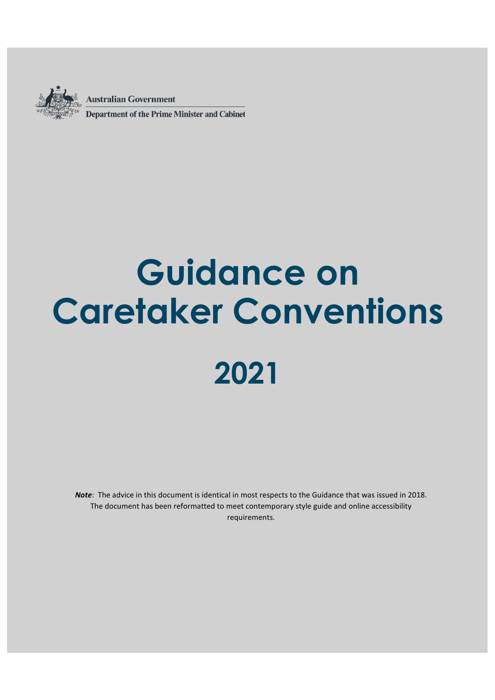

**Australian Government Department of the Prime Minister and Cabinet** 

# **Guidance on Caretaker Conventions 2021**

*Note*: The advice in this document is identical in most respects to the Guidance that was issued in 2018. The document has been reformatted to meet contemporary style guide and online accessibility requirements.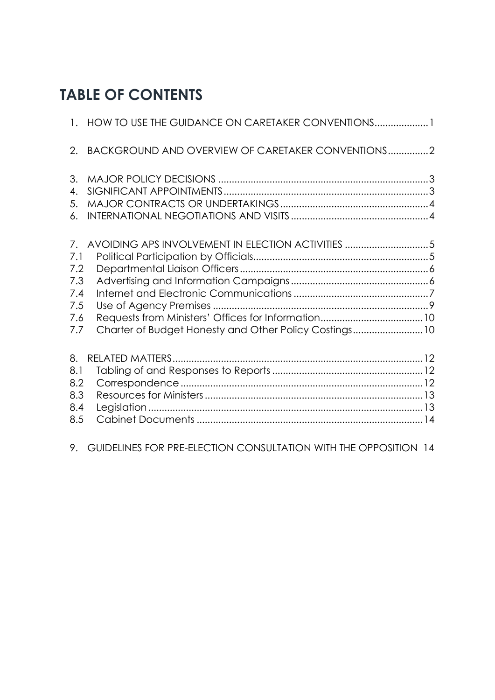## **TABLE OF CONTENTS**

|                                                     | 1. HOW TO USE THE GUIDANCE ON CARETAKER CONVENTIONS1                                                       |  |
|-----------------------------------------------------|------------------------------------------------------------------------------------------------------------|--|
| 2.                                                  | BACKGROUND AND OVERVIEW OF CARETAKER CONVENTIONS2                                                          |  |
| 3.<br>$\overline{4}$ .<br>5.<br>6.                  |                                                                                                            |  |
| 7.<br>7.1<br>7.2<br>7.3<br>7.4<br>7.5<br>7.6<br>7.7 | AVOIDING APS INVOLVEMENT IN ELECTION ACTIVITIES 5<br>Charter of Budget Honesty and Other Policy Costings10 |  |
| 8.<br>8.1<br>8.2<br>8.3<br>8.4<br>8.5               |                                                                                                            |  |
| 9.                                                  | GUIDELINES FOR PRE-ELECTION CONSULTATION WITH THE OPPOSITION 14                                            |  |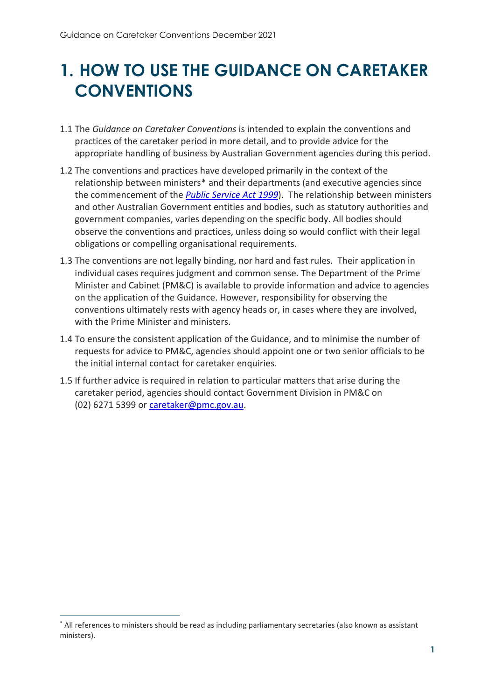# <span id="page-2-0"></span>**1. HOW TO USE THE GUIDANCE ON CARETAKER CONVENTIONS**

- 1.1 The *Guidance on Caretaker Conventions* is intended to explain the conventions and practices of the caretaker period in more detail, and to provide advice for the appropriate handling of business by Australian Government agencies during this period.
- 1.2 The conventions and practices have developed primarily in t[h](#page-2-1)e context of the relationship between ministers\* and their departments (and executive agencies since the commencement of the *[Public Service Act 1999](https://www.legislation.gov.au/Details/C2019C00057)*). The relationship between ministers and other Australian Government entities and bodies, such as statutory authorities and government companies, varies depending on the specific body. All bodies should observe the conventions and practices, unless doing so would conflict with their legal obligations or compelling organisational requirements.
- 1.3 The conventions are not legally binding, nor hard and fast rules. Their application in individual cases requires judgment and common sense. The Department of the Prime Minister and Cabinet (PM&C) is available to provide information and advice to agencies on the application of the Guidance. However, responsibility for observing the conventions ultimately rests with agency heads or, in cases where they are involved, with the Prime Minister and ministers.
- 1.4 To ensure the consistent application of the Guidance, and to minimise the number of requests for advice to PM&C, agencies should appoint one or two senior officials to be the initial internal contact for caretaker enquiries.
- 1.5 If further advice is required in relation to particular matters that arise during the caretaker period, agencies should contact Government Division in PM&C on (02) 6271 5399 or [caretaker@pmc.gov.au.](mailto:caretaker@pmc.gov.au)

1

<span id="page-2-1"></span><sup>\*</sup> All references to ministers should be read as including parliamentary secretaries (also known as assistant ministers).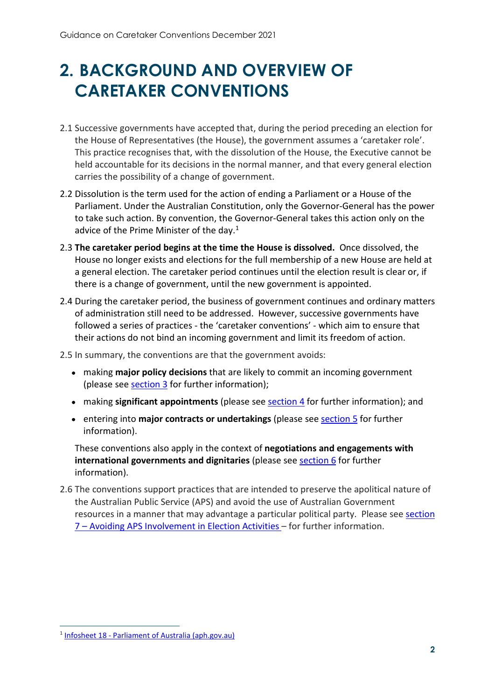# <span id="page-3-0"></span>**2. BACKGROUND AND OVERVIEW OF CARETAKER CONVENTIONS**

- 2.1 Successive governments have accepted that, during the period preceding an election for the House of Representatives (the House), the government assumes a 'caretaker role'. This practice recognises that, with the dissolution of the House, the Executive cannot be held accountable for its decisions in the normal manner, and that every general election carries the possibility of a change of government.
- 2.2 Dissolution is the term used for the action of ending a Parliament or a House of the Parliament. Under the Australian Constitution, only the Governor-General has the power to take such action. By convention, the Governor-General takes this action only on the advice of the Prime Minister of the day. $1$
- 2.3 **The caretaker period begins at the time the House is dissolved.** Once dissolved, the House no longer exists and elections for the full membership of a new House are held at a general election. The caretaker period continues until the election result is clear or, if there is a change of government, until the new government is appointed.
- 2.4 During the caretaker period, the business of government continues and ordinary matters of administration still need to be addressed. However, successive governments have followed a series of practices - the 'caretaker conventions' - which aim to ensure that their actions do not bind an incoming government and limit its freedom of action.

2.5 In summary, the conventions are that the government avoids:

- making **major policy decisions** that are likely to commit an incoming government (please see  $section 3$  for further information);
- making **significant appointments** (please se[e section 4](#page-4-3) for further information); and
- entering into **major contracts or undertakings** (please see [section 5](#page-5-2) for further information).

These conventions also apply in the context of **negotiations and engagements with international governments and dignitaries** (please see [section 6](#page-5-3) for further information).

2.6 The conventions support practices that are intended to preserve the apolitical nature of the Australian Public Service (APS) and avoid the use of Australian Government resources in a manner that may advantage a particular political party. Please see [section](#page-6-0)  [7 – Avoiding APS Involvement in Election Activities](#page-6-0) – for further information.

1

<span id="page-3-1"></span><sup>1</sup> [Infosheet 18 - Parliament of Australia \(aph.gov.au\)](https://www.aph.gov.au/about_parliament/house_of_representatives/powers_practice_and_procedure/00_-_infosheets/infosheet_18_-_double_dissolution)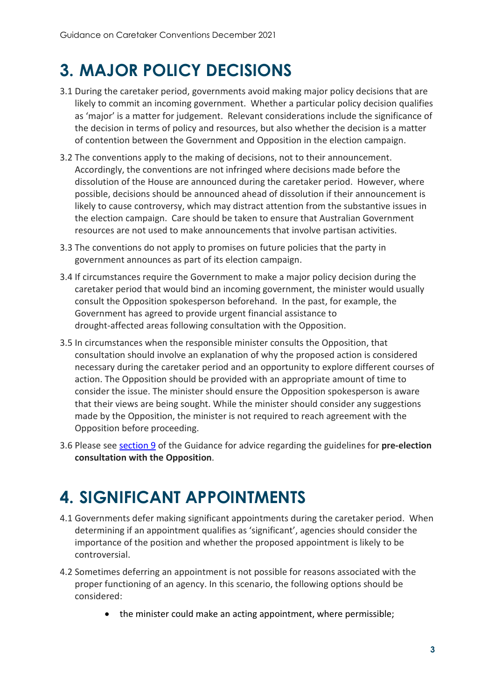# <span id="page-4-2"></span><span id="page-4-0"></span>**3. MAJOR POLICY DECISIONS**

- 3.1 During the caretaker period, governments avoid making major policy decisions that are likely to commit an incoming government. Whether a particular policy decision qualifies as 'major' is a matter for judgement. Relevant considerations include the significance of the decision in terms of policy and resources, but also whether the decision is a matter of contention between the Government and Opposition in the election campaign.
- 3.2 The conventions apply to the making of decisions, not to their announcement. Accordingly, the conventions are not infringed where decisions made before the dissolution of the House are announced during the caretaker period. However, where possible, decisions should be announced ahead of dissolution if their announcement is likely to cause controversy, which may distract attention from the substantive issues in the election campaign. Care should be taken to ensure that Australian Government resources are not used to make announcements that involve partisan activities.
- 3.3 The conventions do not apply to promises on future policies that the party in government announces as part of its election campaign.
- 3.4 If circumstances require the Government to make a major policy decision during the caretaker period that would bind an incoming government, the minister would usually consult the Opposition spokesperson beforehand. In the past, for example, the Government has agreed to provide urgent financial assistance to drought-affected areas following consultation with the Opposition.
- 3.5 In circumstances when the responsible minister consults the Opposition, that consultation should involve an explanation of why the proposed action is considered necessary during the caretaker period and an opportunity to explore different courses of action. The Opposition should be provided with an appropriate amount of time to consider the issue. The minister should ensure the Opposition spokesperson is aware that their views are being sought. While the minister should consider any suggestions made by the Opposition, the minister is not required to reach agreement with the Opposition before proceeding.
- 3.6 Please see [section 9](#page-15-2) of the Guidance for advice regarding the guidelines for **pre-election consultation with the Opposition**.

## <span id="page-4-3"></span><span id="page-4-1"></span>**4. SIGNIFICANT APPOINTMENTS**

- 4.1 Governments defer making significant appointments during the caretaker period. When determining if an appointment qualifies as 'significant', agencies should consider the importance of the position and whether the proposed appointment is likely to be controversial.
- 4.2 Sometimes deferring an appointment is not possible for reasons associated with the proper functioning of an agency. In this scenario, the following options should be considered:
	- the minister could make an acting appointment, where permissible: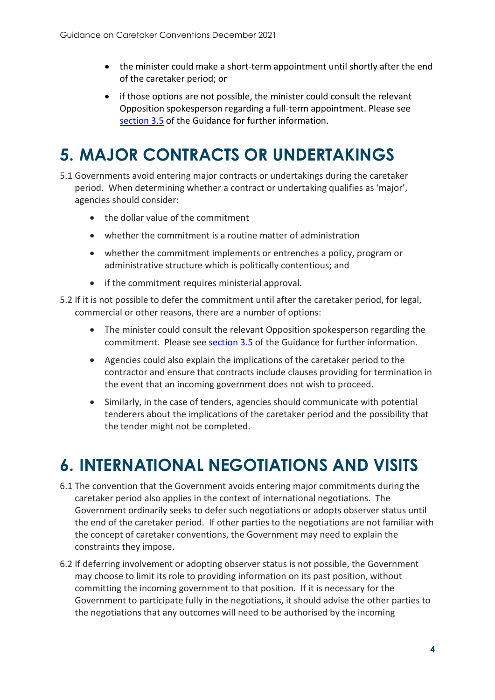- the minister could make a short-term appointment until shortly after the end of the caretaker period; or
- if those options are not possible, the minister could consult the relevant Opposition spokesperson regarding a full-term appointment. Please see [section 3.5](#page-4-2) of the Guidance for further information.

# <span id="page-5-2"></span><span id="page-5-0"></span>**5. MAJOR CONTRACTS OR UNDERTAKINGS**

- 5.1 Governments avoid entering major contracts or undertakings during the caretaker period. When determining whether a contract or undertaking qualifies as 'major', agencies should consider:
	- the dollar value of the commitment
	- whether the commitment is a routine matter of administration
	- whether the commitment implements or entrenches a policy, program or administrative structure which is politically contentious; and
	- if the commitment requires ministerial approval.
- 5.2 If it is not possible to defer the commitment until after the caretaker period, for legal, commercial or other reasons, there are a number of options:
	- The minister could consult the relevant Opposition spokesperson regarding the commitment. Please see [section 3.5](#page-4-2) of the Guidance for further information.
	- Agencies could also explain the implications of the caretaker period to the contractor and ensure that contracts include clauses providing for termination in the event that an incoming government does not wish to proceed.
	- Similarly, in the case of tenders, agencies should communicate with potential tenderers about the implications of the caretaker period and the possibility that the tender might not be completed.

## <span id="page-5-3"></span><span id="page-5-1"></span>**6. INTERNATIONAL NEGOTIATIONS AND VISITS**

- 6.1 The convention that the Government avoids entering major commitments during the caretaker period also applies in the context of international negotiations. The Government ordinarily seeks to defer such negotiations or adopts observer status until the end of the caretaker period. If other parties to the negotiations are not familiar with the concept of caretaker conventions, the Government may need to explain the constraints they impose.
- 6.2 If deferring involvement or adopting observer status is not possible, the Government may choose to limit its role to providing information on its past position, without committing the incoming government to that position. If it is necessary for the Government to participate fully in the negotiations, it should advise the other parties to the negotiations that any outcomes will need to be authorised by the incoming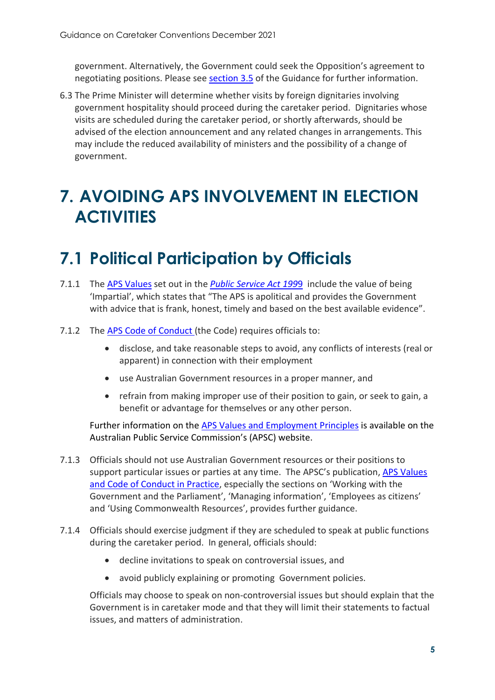government. Alternatively, the Government could seek the Opposition's agreement to negotiating positions. Please see [section 3.5](#page-5-2) of the Guidance for further information.

6.3 The Prime Minister will determine whether visits by foreign dignitaries involving government hospitality should proceed during the caretaker period. Dignitaries whose visits are scheduled during the caretaker period, or shortly afterwards, should be advised of the election announcement and any related changes in arrangements. This may include the reduced availability of ministers and the possibility of a change of government.

## <span id="page-6-0"></span>**7. AVOIDING APS INVOLVEMENT IN ELECTION ACTIVITIES**

## <span id="page-6-1"></span>**7.1 Political Participation by Officials**

- 7.1.1 The [APS Values](https://www.apsc.gov.au/working-aps/integrity/aps-values) set out in the *[Public Service Act 199](https://www.legislation.gov.au/Details/C2019C00057)*9 include the value of being 'Impartial', which states that "The APS is apolitical and provides the Government with advice that is frank, honest, timely and based on the best available evidence".
- 7.1.2 The [APS Code of Conduct \(](https://www.apsc.gov.au/working-aps/integrity/code-conduct)the Code) requires officials to:
	- disclose, and take reasonable steps to avoid, any conflicts of interests (real or apparent) in connection with their employment
	- use Australian Government resources in a proper manner, and
	- refrain from making improper use of their position to gain, or seek to gain, a benefit or advantage for themselves or any other person.

Further information on the [APS Values and Employment Principles](https://www.apsc.gov.au/working-aps/integrity) is available on the Australian Public Service Commission's (APSC) website.

- 7.1.3 Officials should not use Australian Government resources or their positions to support particular issues or parties at any time. The APSC's publication, [APS Values](https://www.apsc.gov.au/publication/aps-values-and-code-conduct-practice)  [and Code of Conduct in Practice,](https://www.apsc.gov.au/publication/aps-values-and-code-conduct-practice) especially the sections on 'Working with the Government and the Parliament', 'Managing information', 'Employees as citizens' and 'Using Commonwealth Resources', provides further guidance.
- 7.1.4 Officials should exercise judgment if they are scheduled to speak at public functions during the caretaker period. In general, officials should:
	- decline invitations to speak on controversial issues, and
	- avoid publicly explaining or promoting Government policies.

Officials may choose to speak on non-controversial issues but should explain that the Government is in caretaker mode and that they will limit their statements to factual issues, and matters of administration.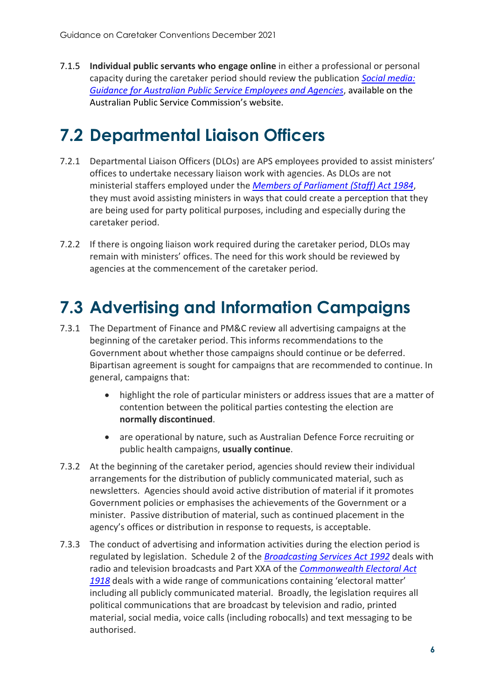7.1.5 **Individual public servants who engage online** in either a professional or personal capacity during the caretaker period should review the publication *[Social media:](https://www.apsc.gov.au/working-aps/integrity/social-media-guidance-australian-public-service-employees-and-agencies)  [Guidance for Australian Public Service Employees and Agencies](https://www.apsc.gov.au/working-aps/integrity/social-media-guidance-australian-public-service-employees-and-agencies)*, available on the Australian Public Service Commission's website.

## <span id="page-7-0"></span>**7.2 Departmental Liaison Officers**

- 7.2.1 Departmental Liaison Officers (DLOs) are APS employees provided to assist ministers' offices to undertake necessary liaison work with agencies. As DLOs are not ministerial staffers employed under the *[Members of Parliament \(Staff\) Act 1984](https://www.legislation.gov.au/Details/C2014C00540)*, they must avoid assisting ministers in ways that could create a perception that they are being used for party political purposes, including and especially during the caretaker period.
- 7.2.2 If there is ongoing liaison work required during the caretaker period, DLOs may remain with ministers' offices. The need for this work should be reviewed by agencies at the commencement of the caretaker period.

# <span id="page-7-1"></span>**7.3 Advertising and Information Campaigns**

- 7.3.1 The Department of Finance and PM&C review all advertising campaigns at the beginning of the caretaker period. This informs recommendations to the Government about whether those campaigns should continue or be deferred. Bipartisan agreement is sought for campaigns that are recommended to continue. In general, campaigns that:
	- highlight the role of particular ministers or address issues that are a matter of contention between the political parties contesting the election are **normally discontinued**.
	- are operational by nature, such as Australian Defence Force recruiting or public health campaigns, **usually continue**.
- 7.3.2 At the beginning of the caretaker period, agencies should review their individual arrangements for the distribution of publicly communicated material, such as newsletters. Agencies should avoid active distribution of material if it promotes Government policies or emphasises the achievements of the Government or a minister. Passive distribution of material, such as continued placement in the agency's offices or distribution in response to requests, is acceptable.
- 7.3.3 The conduct of advertising and information activities during the election period is regulated by legislation. Schedule 2 of the *[Broadcasting Services Act 1992](https://www.legislation.gov.au/Details/C2020A00100)* deals with radio and television broadcasts and Part XXA of the *[Commonwealth Electoral Act](https://www.legislation.gov.au/Series/C1918A00027)  [1918](https://www.legislation.gov.au/Series/C1918A00027)* deals with a wide range of communications containing 'electoral matter' including all publicly communicated material. Broadly, the legislation requires all political communications that are broadcast by television and radio, printed material, social media, voice calls (including robocalls) and text messaging to be authorised.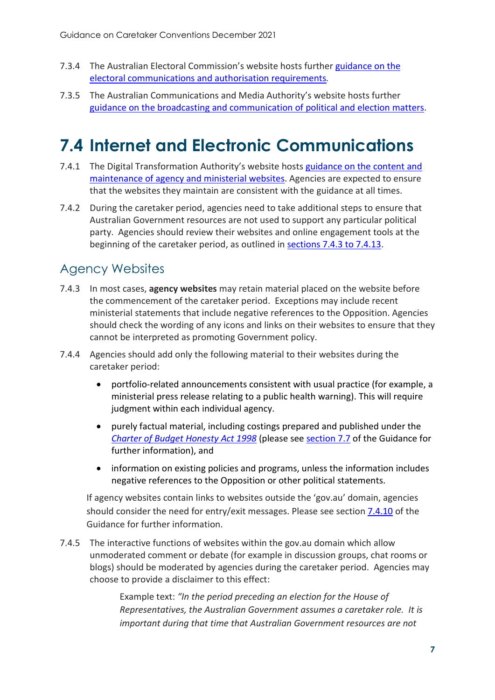- 7.3.4 The Australian Electoral Commission's website hosts further [guidance on the](https://www.aec.gov.au/About_AEC/Publications/Backgrounders/authorisation.htm)  [electoral communications and authorisation requirements](https://www.aec.gov.au/About_AEC/Publications/Backgrounders/authorisation.htm)*.*
- 7.3.5 The Australian Communications and Media Authority's website hosts further [guidance on the broadcasting and communication of political and election matters.](https://www.acma.gov.au/election-and-political-ads)

## <span id="page-8-0"></span>**7.4 Internet and Electronic Communications**

- 7.4.1 The Digital Transformation Authority's website hosts [guidance on the content and](https://www.dta.gov.au/help-and-advice/guides-and-tools/requirements-australian-government-websites/ministerial-content)  [maintenance of agency and ministerial websites.](https://www.dta.gov.au/help-and-advice/guides-and-tools/requirements-australian-government-websites/ministerial-content) Agencies are expected to ensure that the websites they maintain are consistent with the guidance at all times.
- 7.4.2 During the caretaker period, agencies need to take additional steps to ensure that Australian Government resources are not used to support any particular political party. Agencies should review their websites and online engagement tools at the beginning of the caretaker period, as outlined in [sections 7.4.3 to 7.4.13.](#page-8-1)

#### <span id="page-8-1"></span>Agency Websites

- 7.4.3 In most cases, **agency websites** may retain material placed on the website before the commencement of the caretaker period. Exceptions may include recent ministerial statements that include negative references to the Opposition. Agencies should check the wording of any icons and links on their websites to ensure that they cannot be interpreted as promoting Government policy.
- 7.4.4 Agencies should add only the following material to their websites during the caretaker period:
	- portfolio-related announcements consistent with usual practice (for example, a ministerial press release relating to a public health warning). This will require judgment within each individual agency.
	- purely factual material, including costings prepared and published under the *[Charter of Budget Honesty Act 1998](https://www.legislation.gov.au/Details/C2020C00126)* (please see [section 7.7](#page-11-1) of the Guidance for further information), and
	- information on existing policies and programs, unless the information includes negative references to the Opposition or other political statements.

If agency websites contain links to websites outside the 'gov.au' domain, agencies should consider the need for entry/exit messages. Please see section [7.4.10](#page-9-0) of the Guidance for further information.

7.4.5 The interactive functions of websites within the gov.au domain which allow unmoderated comment or debate (for example in discussion groups, chat rooms or blogs) should be moderated by agencies during the caretaker period. Agencies may choose to provide a disclaimer to this effect:

> Example text: *"In the period preceding an election for the House of Representatives, the Australian Government assumes a caretaker role. It is important during that time that Australian Government resources are not*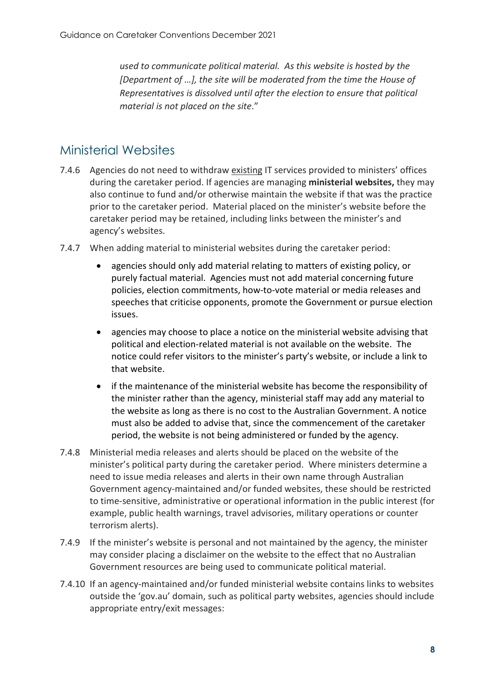*used to communicate political material. As this website is hosted by the [Department of …], the site will be moderated from the time the House of Representatives is dissolved until after the election to ensure that political material is not placed on the site*."

#### <span id="page-9-0"></span>Ministerial Websites

- 7.4.6 Agencies do not need to withdraw existing IT services provided to ministers' offices during the caretaker period. If agencies are managing **ministerial websites,** they may also continue to fund and/or otherwise maintain the website if that was the practice prior to the caretaker period. Material placed on the minister's website before the caretaker period may be retained, including links between the minister's and agency's websites.
- 7.4.7 When adding material to ministerial websites during the caretaker period:
	- agencies should only add material relating to matters of existing policy, or purely factual material. Agencies must not add material concerning future policies, election commitments, how-to-vote material or media releases and speeches that criticise opponents, promote the Government or pursue election issues.
	- agencies may choose to place a notice on the ministerial website advising that political and election-related material is not available on the website. The notice could refer visitors to the minister's party's website, or include a link to that website.
	- if the maintenance of the ministerial website has become the responsibility of the minister rather than the agency, ministerial staff may add any material to the website as long as there is no cost to the Australian Government. A notice must also be added to advise that, since the commencement of the caretaker period, the website is not being administered or funded by the agency.
- 7.4.8 Ministerial media releases and alerts should be placed on the website of the minister's political party during the caretaker period. Where ministers determine a need to issue media releases and alerts in their own name through Australian Government agency-maintained and/or funded websites, these should be restricted to time-sensitive, administrative or operational information in the public interest (for example, public health warnings, travel advisories, military operations or counter terrorism alerts).
- 7.4.9 If the minister's website is personal and not maintained by the agency, the minister may consider placing a disclaimer on the website to the effect that no Australian Government resources are being used to communicate political material.
- 7.4.10 If an agency-maintained and/or funded ministerial website contains links to websites outside the 'gov.au' domain, such as political party websites, agencies should include appropriate entry/exit messages: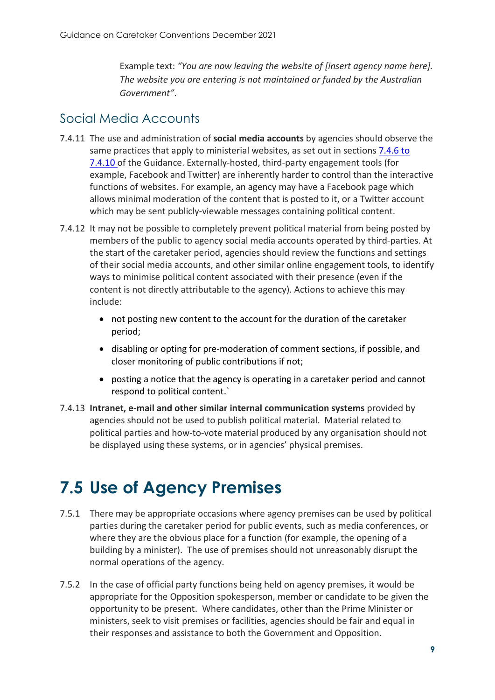Example text: *"You are now leaving the website of [insert agency name here]. The website you are entering is not maintained or funded by the Australian Government"*.

#### Social Media Accounts

- 7.4.11 The use and administration of **social media accounts** by agencies should observe the same practices that apply to ministerial websites, as set out in sections [7.4.6](#page-9-0) to [7.4.10 o](#page-9-0)f the Guidance. Externally-hosted, third-party engagement tools (for example, Facebook and Twitter) are inherently harder to control than the interactive functions of websites. For example, an agency may have a Facebook page which allows minimal moderation of the content that is posted to it, or a Twitter account which may be sent publicly-viewable messages containing political content.
- 7.4.12 It may not be possible to completely prevent political material from being posted by members of the public to agency social media accounts operated by third-parties. At the start of the caretaker period, agencies should review the functions and settings of their social media accounts, and other similar online engagement tools, to identify ways to minimise political content associated with their presence (even if the content is not directly attributable to the agency). Actions to achieve this may include:
	- not posting new content to the account for the duration of the caretaker period;
	- disabling or opting for pre-moderation of comment sections, if possible, and closer monitoring of public contributions if not;
	- posting a notice that the agency is operating in a caretaker period and cannot respond to political content.`
- 7.4.13 **Intranet, e-mail and other similar internal communication systems** provided by agencies should not be used to publish political material. Material related to political parties and how-to-vote material produced by any organisation should not be displayed using these systems, or in agencies' physical premises.

## <span id="page-10-0"></span>**7.5 Use of Agency Premises**

- 7.5.1 There may be appropriate occasions where agency premises can be used by political parties during the caretaker period for public events, such as media conferences, or where they are the obvious place for a function (for example, the opening of a building by a minister). The use of premises should not unreasonably disrupt the normal operations of the agency.
- 7.5.2 In the case of official party functions being held on agency premises, it would be appropriate for the Opposition spokesperson, member or candidate to be given the opportunity to be present. Where candidates, other than the Prime Minister or ministers, seek to visit premises or facilities, agencies should be fair and equal in their responses and assistance to both the Government and Opposition.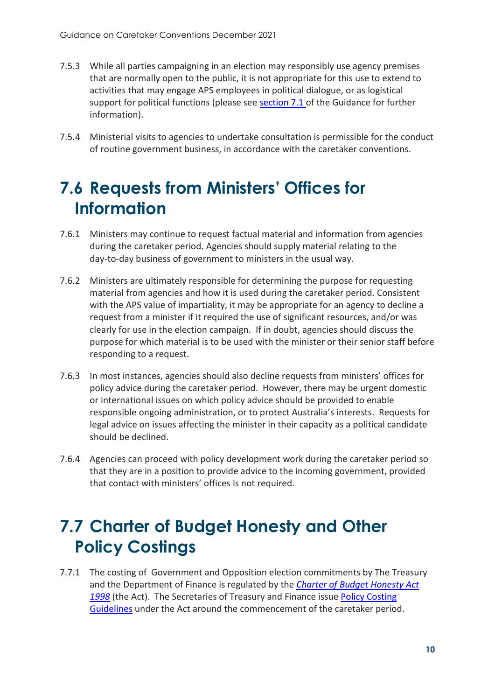- 7.5.3 While all parties campaigning in an election may responsibly use agency premises that are normally open to the public, it is not appropriate for this use to extend to activities that may engage APS employees in political dialogue, or as logistical support for political functions (please see [section 7.1](#page-6-1) of the Guidance for further information).
- 7.5.4 Ministerial visits to agencies to undertake consultation is permissible for the conduct of routine government business, in accordance with the caretaker conventions.

## <span id="page-11-0"></span>**7.6 Requests from Ministers' Offices for Information**

- 7.6.1 Ministers may continue to request factual material and information from agencies during the caretaker period. Agencies should supply material relating to the day-to-day business of government to ministers in the usual way.
- 7.6.2 Ministers are ultimately responsible for determining the purpose for requesting material from agencies and how it is used during the caretaker period. Consistent with the APS value of impartiality, it may be appropriate for an agency to decline a request from a minister if it required the use of significant resources, and/or was clearly for use in the election campaign. If in doubt, agencies should discuss the purpose for which material is to be used with the minister or their senior staff before responding to a request.
- 7.6.3 In most instances, agencies should also decline requests from ministers' offices for policy advice during the caretaker period. However, there may be urgent domestic or international issues on which policy advice should be provided to enable responsible ongoing administration, or to protect Australia's interests. Requests for legal advice on issues affecting the minister in their capacity as a political candidate should be declined.
- 7.6.4 Agencies can proceed with policy development work during the caretaker period so that they are in a position to provide advice to the incoming government, provided that contact with ministers' offices is not required.

## <span id="page-11-1"></span>**7.7 Charter of Budget Honesty and Other Policy Costings**

7.7.1 The costing of Government and Opposition election commitments by The Treasury and the Department of Finance is regulated by the *[Charter of Budget Honesty Act](https://www.legislation.gov.au/Details/C2020C00126)  [1998](https://www.legislation.gov.au/Details/C2020C00126)* (the Act). The Secretaries of Treasury and Finance issue [Policy Costing](https://www.finance.gov.au/publications/charter-budget-honesty-policy-costing-guidelines)  [Guidelines](https://www.finance.gov.au/publications/charter-budget-honesty-policy-costing-guidelines) under the Act around the commencement of the caretaker period.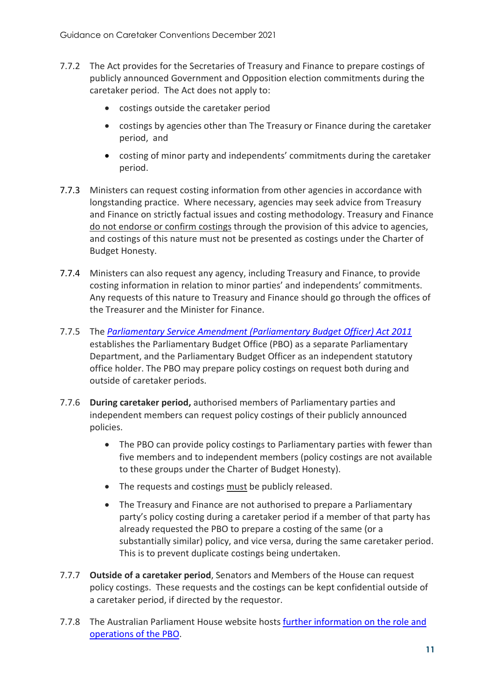- 7.7.2 The Act provides for the Secretaries of Treasury and Finance to prepare costings of publicly announced Government and Opposition election commitments during the caretaker period. The Act does not apply to:
	- costings outside the caretaker period
	- costings by agencies other than The Treasury or Finance during the caretaker period, and
	- costing of minor party and independents' commitments during the caretaker period.
- 7.7.3 Ministers can request costing information from other agencies in accordance with longstanding practice. Where necessary, agencies may seek advice from Treasury and Finance on strictly factual issues and costing methodology. Treasury and Finance do not endorse or confirm costings through the provision of this advice to agencies, and costings of this nature must not be presented as costings under the Charter of Budget Honesty.
- 7.7.4 Ministers can also request any agency, including Treasury and Finance, to provide costing information in relation to minor parties' and independents' commitments. Any requests of this nature to Treasury and Finance should go through the offices of the Treasurer and the Minister for Finance.
- 7.7.5 The *[Parliamentary Service Amendment \(Parliamentary Budget](https://www.legislation.gov.au/Details/C2011A00170) Officer) Act 2011* establishes the Parliamentary Budget Office (PBO) as a separate Parliamentary Department, and the Parliamentary Budget Officer as an independent statutory office holder. The PBO may prepare policy costings on request both during and outside of caretaker periods.
- 7.7.6 **During caretaker period,** authorised members of Parliamentary parties and independent members can request policy costings of their publicly announced policies.
	- The PBO can provide policy costings to Parliamentary parties with fewer than five members and to independent members (policy costings are not available to these groups under the Charter of Budget Honesty).
	- The requests and costings must be publicly released.
	- The Treasury and Finance are not authorised to prepare a Parliamentary party's policy costing during a caretaker period if a member of that party has already requested the PBO to prepare a costing of the same (or a substantially similar) policy, and vice versa, during the same caretaker period. This is to prevent duplicate costings being undertaken.
- 7.7.7 **Outside of a caretaker period**, Senators and Members of the House can request policy costings. These requests and the costings can be kept confidential outside of a caretaker period, if directed by the requestor.
- 7.7.8 The Australian Parliament House website hosts [further information on the role and](https://www.aph.gov.au/pbo)  [operations of the PBO.](https://www.aph.gov.au/pbo)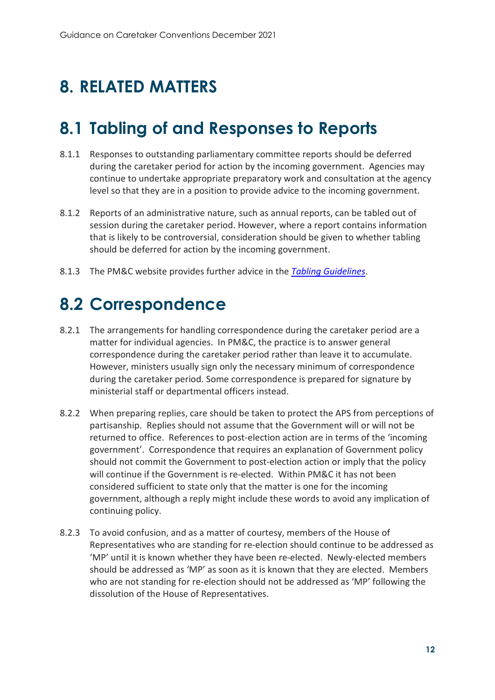# <span id="page-13-0"></span>**8. RELATED MATTERS**

## <span id="page-13-1"></span>**8.1 Tabling of and Responses to Reports**

- 8.1.1 Responses to outstanding parliamentary committee reports should be deferred during the caretaker period for action by the incoming government. Agencies may continue to undertake appropriate preparatory work and consultation at the agency level so that they are in a position to provide advice to the incoming government.
- 8.1.2 Reports of an administrative nature, such as annual reports, can be tabled out of session during the caretaker period. However, where a report contains information that is likely to be controversial, consideration should be given to whether tabling should be deferred for action by the incoming government.
- 8.1.3 The PM&C website provides further advice in the *[Tabling Guidelines](https://www.pmc.gov.au/resource-centre/government/tabling-guidelines)*.

## <span id="page-13-2"></span>**8.2 Correspondence**

- 8.2.1 The arrangements for handling correspondence during the caretaker period are a matter for individual agencies. In PM&C, the practice is to answer general correspondence during the caretaker period rather than leave it to accumulate. However, ministers usually sign only the necessary minimum of correspondence during the caretaker period. Some correspondence is prepared for signature by ministerial staff or departmental officers instead.
- 8.2.2 When preparing replies, care should be taken to protect the APS from perceptions of partisanship. Replies should not assume that the Government will or will not be returned to office. References to post-election action are in terms of the 'incoming government'. Correspondence that requires an explanation of Government policy should not commit the Government to post-election action or imply that the policy will continue if the Government is re-elected. Within PM&C it has not been considered sufficient to state only that the matter is one for the incoming government, although a reply might include these words to avoid any implication of continuing policy.
- 8.2.3 To avoid confusion, and as a matter of courtesy, members of the House of Representatives who are standing for re-election should continue to be addressed as 'MP' until it is known whether they have been re-elected. Newly-elected members should be addressed as 'MP' as soon as it is known that they are elected. Members who are not standing for re-election should not be addressed as 'MP' following the dissolution of the House of Representatives.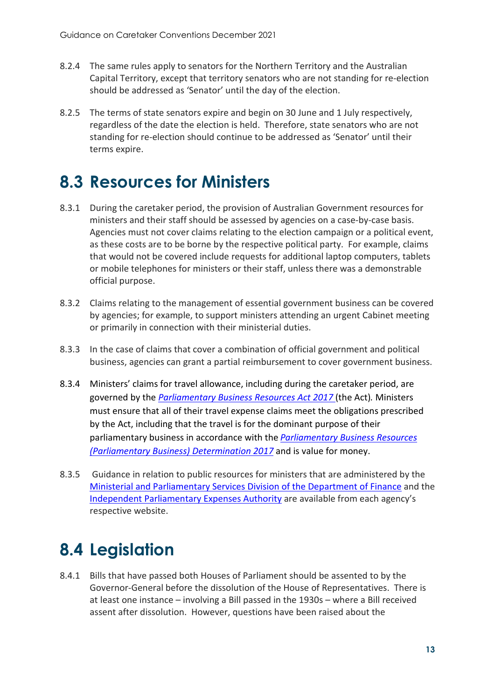- 8.2.4 The same rules apply to senators for the Northern Territory and the Australian Capital Territory, except that territory senators who are not standing for re-election should be addressed as 'Senator' until the day of the election.
- 8.2.5 The terms of state senators expire and begin on 30 June and 1 July respectively, regardless of the date the election is held. Therefore, state senators who are not standing for re-election should continue to be addressed as 'Senator' until their terms expire.

## <span id="page-14-0"></span>**8.3 Resources for Ministers**

- 8.3.1 During the caretaker period, the provision of Australian Government resources for ministers and their staff should be assessed by agencies on a case-by-case basis. Agencies must not cover claims relating to the election campaign or a political event, as these costs are to be borne by the respective political party. For example, claims that would not be covered include requests for additional laptop computers, tablets or mobile telephones for ministers or their staff, unless there was a demonstrable official purpose.
- 8.3.2 Claims relating to the management of essential government business can be covered by agencies; for example, to support ministers attending an urgent Cabinet meeting or primarily in connection with their ministerial duties.
- 8.3.3 In the case of claims that cover a combination of official government and political business, agencies can grant a partial reimbursement to cover government business.
- 8.3.4 Ministers' claims for travel allowance, including during the caretaker period, are governed by the *[Parliamentary Business Resources Act 2017](https://www.legislation.gov.au/Series/C2017A00037)* (the Act)*.* Ministers must ensure that all of their travel expense claims meet the obligations prescribed by the Act, including that the travel is for the dominant purpose of their parliamentary business in accordance with the *[Parliamentary Business Resources](https://www.legislation.gov.au/Details/F2017L01691)  [\(Parliamentary Business\) Determination 2017](https://www.legislation.gov.au/Details/F2017L01691)* and is value for money.
- 8.3.5 Guidance in relation to public resources for ministers that are administered by the [Ministerial and Parliamentary Services Division of the Department of Finance](https://maps.finance.gov.au/) and the [Independent Parliamentary Expenses Authority](https://www.ipea.gov.au/) are available from each agency's respective website.

# <span id="page-14-1"></span>**8.4 Legislation**

8.4.1 Bills that have passed both Houses of Parliament should be assented to by the Governor-General before the dissolution of the House of Representatives. There is at least one instance – involving a Bill passed in the 1930s – where a Bill received assent after dissolution. However, questions have been raised about the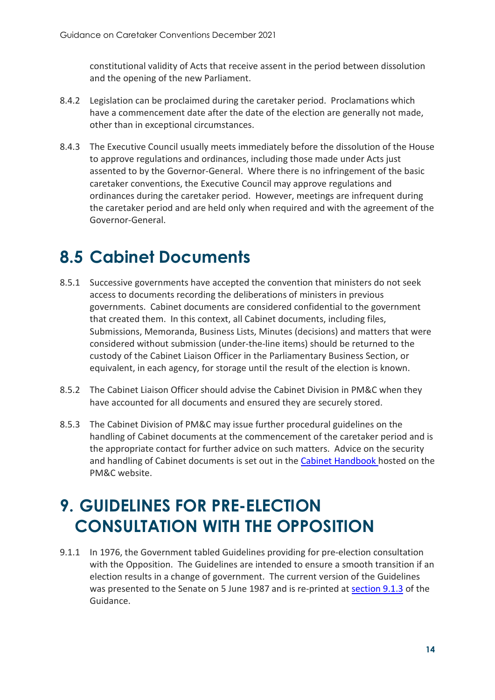constitutional validity of Acts that receive assent in the period between dissolution and the opening of the new Parliament.

- 8.4.2 Legislation can be proclaimed during the caretaker period. Proclamations which have a commencement date after the date of the election are generally not made, other than in exceptional circumstances.
- 8.4.3 The Executive Council usually meets immediately before the dissolution of the House to approve regulations and ordinances, including those made under Acts just assented to by the Governor-General. Where there is no infringement of the basic caretaker conventions, the Executive Council may approve regulations and ordinances during the caretaker period. However, meetings are infrequent during the caretaker period and are held only when required and with the agreement of the Governor-General.

## <span id="page-15-0"></span>**8.5 Cabinet Documents**

- 8.5.1 Successive governments have accepted the convention that ministers do not seek access to documents recording the deliberations of ministers in previous governments. Cabinet documents are considered confidential to the government that created them. In this context, all Cabinet documents, including files, Submissions, Memoranda, Business Lists, Minutes (decisions) and matters that were considered without submission (under-the-line items) should be returned to the custody of the Cabinet Liaison Officer in the Parliamentary Business Section, or equivalent, in each agency, for storage until the result of the election is known.
- 8.5.2 The Cabinet Liaison Officer should advise the Cabinet Division in PM&C when they have accounted for all documents and ensured they are securely stored.
- 8.5.3 The Cabinet Division of PM&C may issue further procedural guidelines on the handling of Cabinet documents at the commencement of the caretaker period and is the appropriate contact for further advice on such matters. Advice on the security and handling of Cabinet documents is set out in the [Cabinet Handbook h](https://www.pmc.gov.au/resource-centre/government/cabinet-handbook)osted on the PM&C website.

# <span id="page-15-3"></span><span id="page-15-2"></span><span id="page-15-1"></span>**9. GUIDELINES FOR PRE-ELECTION CONSULTATION WITH THE OPPOSITION**

9.1.1 In 1976, the Government tabled Guidelines providing for pre-election consultation with the Opposition. The Guidelines are intended to ensure a smooth transition if an election results in a change of government. The current version of the Guidelines was presented to the Senate on 5 June 1987 and is re-printed at [section 9.1.3](#page-15-3) of the Guidance.